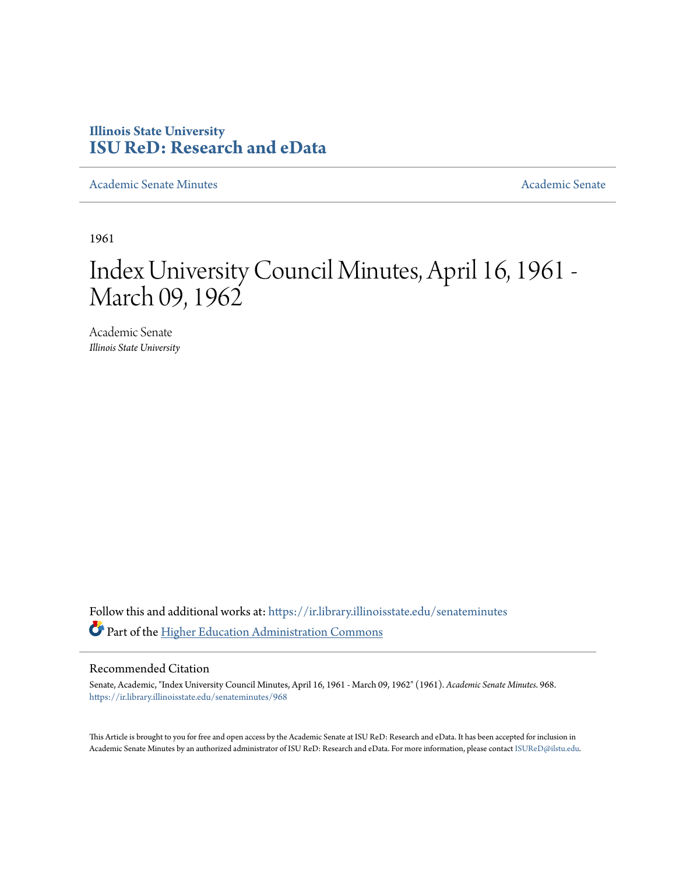### **Illinois State University [ISU ReD: Research and eData](https://ir.library.illinoisstate.edu?utm_source=ir.library.illinoisstate.edu%2Fsenateminutes%2F968&utm_medium=PDF&utm_campaign=PDFCoverPages)**

[Academic Senate Minutes](https://ir.library.illinoisstate.edu/senateminutes?utm_source=ir.library.illinoisstate.edu%2Fsenateminutes%2F968&utm_medium=PDF&utm_campaign=PDFCoverPages) [Academic Senate](https://ir.library.illinoisstate.edu/senate?utm_source=ir.library.illinoisstate.edu%2Fsenateminutes%2F968&utm_medium=PDF&utm_campaign=PDFCoverPages) Academic Senate

1961

# Index University Council Minutes, April 16, 1961 - March 09, 1962

Academic Senate *Illinois State University*

Follow this and additional works at: [https://ir.library.illinoisstate.edu/senateminutes](https://ir.library.illinoisstate.edu/senateminutes?utm_source=ir.library.illinoisstate.edu%2Fsenateminutes%2F968&utm_medium=PDF&utm_campaign=PDFCoverPages) Part of the [Higher Education Administration Commons](http://network.bepress.com/hgg/discipline/791?utm_source=ir.library.illinoisstate.edu%2Fsenateminutes%2F968&utm_medium=PDF&utm_campaign=PDFCoverPages)

#### Recommended Citation

Senate, Academic, "Index University Council Minutes, April 16, 1961 - March 09, 1962" (1961). *Academic Senate Minutes*. 968. [https://ir.library.illinoisstate.edu/senateminutes/968](https://ir.library.illinoisstate.edu/senateminutes/968?utm_source=ir.library.illinoisstate.edu%2Fsenateminutes%2F968&utm_medium=PDF&utm_campaign=PDFCoverPages)

This Article is brought to you for free and open access by the Academic Senate at ISU ReD: Research and eData. It has been accepted for inclusion in Academic Senate Minutes by an authorized administrator of ISU ReD: Research and eData. For more information, please contact [ISUReD@ilstu.edu.](mailto:ISUReD@ilstu.edu)